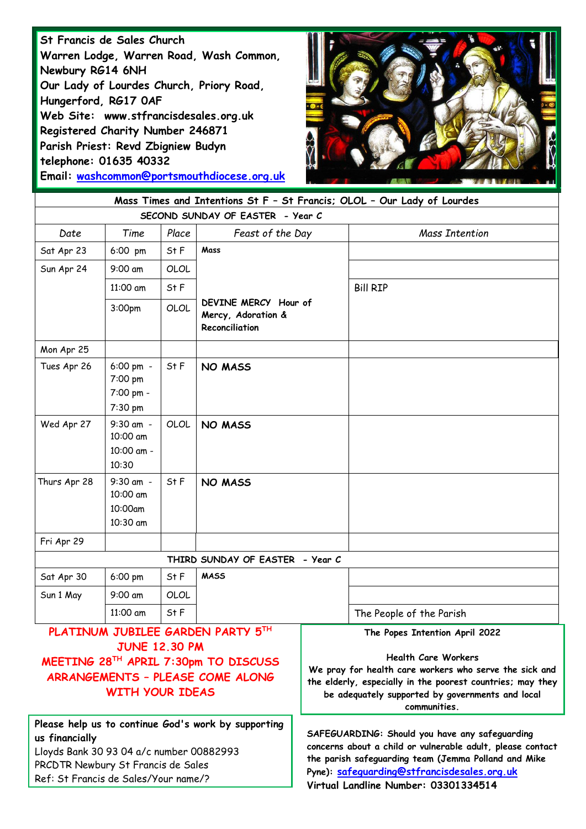**St Francis de Sales Church Warren Lodge, Warren Road, Wash Common, Newbury RG14 6NH Our Lady of Lourdes Church, Priory Road, Hungerford, RG17 0AF Web Site: www.stfrancisdesales.org.uk Registered Charity Number 246871 Parish Priest: Revd Zbigniew Budyn telephone: 01635 40332 Email: [washcommon@portsmouthdiocese.org.uk](mailto:washcommon@portsmouthdiocese.org.uk)**



| Mass Times and Intentions St F - St Francis; OLOL - Our Lady of Lourdes                                                                                         |                                                  |       |                                                              |                                                                                                                                                                      |                                                                                                                                                                                                                                                          |
|-----------------------------------------------------------------------------------------------------------------------------------------------------------------|--------------------------------------------------|-------|--------------------------------------------------------------|----------------------------------------------------------------------------------------------------------------------------------------------------------------------|----------------------------------------------------------------------------------------------------------------------------------------------------------------------------------------------------------------------------------------------------------|
| SECOND SUNDAY OF EASTER - Year C                                                                                                                                |                                                  |       |                                                              |                                                                                                                                                                      |                                                                                                                                                                                                                                                          |
| Date                                                                                                                                                            | Time                                             | Place | Feast of the Day                                             |                                                                                                                                                                      | Mass Intention                                                                                                                                                                                                                                           |
| Sat Apr 23                                                                                                                                                      | 6:00 pm                                          | St F  | Mass                                                         |                                                                                                                                                                      |                                                                                                                                                                                                                                                          |
| Sun Apr 24                                                                                                                                                      | 9:00 am                                          | OLOL  |                                                              |                                                                                                                                                                      |                                                                                                                                                                                                                                                          |
|                                                                                                                                                                 | 11:00 am                                         | St F  |                                                              |                                                                                                                                                                      | <b>Bill RIP</b>                                                                                                                                                                                                                                          |
|                                                                                                                                                                 | 3:00pm                                           | OLOL  | DEVINE MERCY Hour of<br>Mercy, Adoration &<br>Reconciliation |                                                                                                                                                                      |                                                                                                                                                                                                                                                          |
| Mon Apr 25                                                                                                                                                      |                                                  |       |                                                              |                                                                                                                                                                      |                                                                                                                                                                                                                                                          |
| Tues Apr 26                                                                                                                                                     | 6:00 pm -<br>7:00 pm<br>7:00 pm -<br>7:30 pm     | St F  | <b>NO MASS</b>                                               |                                                                                                                                                                      |                                                                                                                                                                                                                                                          |
| Wed Apr 27                                                                                                                                                      | 9:30 am -<br>10:00 am<br>10:00 am -<br>10:30     | OLOL  | <b>NO MASS</b>                                               |                                                                                                                                                                      |                                                                                                                                                                                                                                                          |
| Thurs Apr 28                                                                                                                                                    | $9:30$ am $-$<br>10:00 am<br>10:00am<br>10:30 am | St F  | <b>NO MASS</b>                                               |                                                                                                                                                                      |                                                                                                                                                                                                                                                          |
| Fri Apr 29                                                                                                                                                      |                                                  |       |                                                              |                                                                                                                                                                      |                                                                                                                                                                                                                                                          |
| THIRD SUNDAY OF EASTER - Year C                                                                                                                                 |                                                  |       |                                                              |                                                                                                                                                                      |                                                                                                                                                                                                                                                          |
| Sat Apr 30                                                                                                                                                      | 6:00 pm                                          | St F  | <b>MASS</b>                                                  |                                                                                                                                                                      |                                                                                                                                                                                                                                                          |
| Sun 1 May                                                                                                                                                       | 9:00 am                                          | OLOL  |                                                              |                                                                                                                                                                      |                                                                                                                                                                                                                                                          |
|                                                                                                                                                                 | 11:00 am                                         | St F  |                                                              |                                                                                                                                                                      | The People of the Parish                                                                                                                                                                                                                                 |
| PLATINUM JUBILEE GARDEN PARTY 5TH<br><b>JUNE 12.30 PM</b><br>MEETING 28TH APRIL 7:30pm TO DISCUSS<br>ARRANGEMENTS - PLEASE COME ALONG<br><b>WITH YOUR IDEAS</b> |                                                  |       |                                                              |                                                                                                                                                                      | The Popes Intention April 2022<br><b>Health Care Workers</b><br>We pray for health care workers who serve the sick and<br>the elderly, especially in the poorest countries; may they<br>be adequately supported by governments and local<br>communities. |
| Please help us to continue God's work by supporting<br>us financially<br>Lloyds Bank 30 93 04 a/c number 00882993                                               |                                                  |       |                                                              | SAFEGUARDING: Should you have any safeguarding<br>concerns about a child or vulnerable adult, please contact<br>the parish safeguarding team (Jemma Polland and Mike |                                                                                                                                                                                                                                                          |

PRCDTR Newbury St Francis de Sales

Ref: St Francis de Sales/Your name/?

**Pyne): [safeguarding@stfrancisdesales.org.uk](mailto:safeguarding@stfrancisdesales.org.uk) Virtual Landline Number: 03301334514**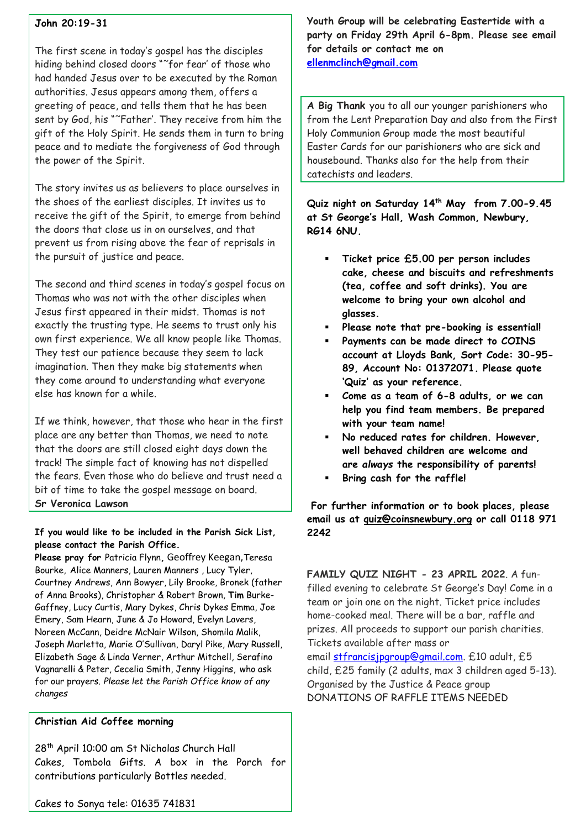## **John 20:19-31**

The first scene in today's gospel has the disciples hiding behind closed doors "˜for fear' of those who had handed Jesus over to be executed by the Roman authorities. Jesus appears among them, offers a greeting of peace, and tells them that he has been sent by God, his "˜Father'. They receive from him the gift of the Holy Spirit. He sends them in turn to bring peace and to mediate the forgiveness of God through the power of the Spirit.

The story invites us as believers to place ourselves in the shoes of the earliest disciples. It invites us to receive the gift of the Spirit, to emerge from behind the doors that close us in on ourselves, and that prevent us from rising above the fear of reprisals in the pursuit of justice and peace.

The second and third scenes in today's gospel focus on Thomas who was not with the other disciples when Jesus first appeared in their midst. Thomas is not exactly the trusting type. He seems to trust only his own first experience. We all know people like Thomas. They test our patience because they seem to lack imagination. Then they make big statements when they come around to understanding what everyone else has known for a while.

If we think, however, that those who hear in the first place are any better than Thomas, we need to note that the doors are still closed eight days down the track! The simple fact of knowing has not dispelled the fears. Even those who do believe and trust need a bit of time to take the gospel message on board. **Sr Veronica Lawson**

## **If you would like to be included in the Parish Sick List, please contact the Parish Office.**

**Please pray for** Patricia Flynn**,** Geoffrey Keegan,Teresa Bourke, Alice Manners, Lauren Manners , Lucy Tyler, Courtney Andrews, Ann Bowyer, Lily Brooke, Bronek (father of Anna Brooks), Christopher & Robert Brown, **Tim** Burke-Gaffney, Lucy Curtis, Mary Dykes, Chris Dykes Emma, Joe Emery, Sam Hearn, June & Jo Howard, Evelyn Lavers, Noreen McCann, Deidre McNair Wilson, Shomila Malik, Joseph Marletta, Marie O'Sullivan, Daryl Pike, Mary Russell, Elizabeth Sage & Linda Verner, Arthur Mitchell, Serafino Vagnarelli & Peter, Cecelia Smith, Jenny Higgins, who ask for our prayers. *Please let the Parish Office know of any changes*

## **Christian Aid Coffee morning**

28<sup>th</sup> April 10:00 am St Nicholas Church Hall Cakes, Tombola Gifts. A box in the Porch for contributions particularly Bottles needed.

**Youth Group will be celebrating Eastertide with a party on Friday 29th April 6-8pm. Please see email for details or contact me on [ellenmclinch@gmail.com](mailto:ellenmclinch@gmail.com)**

**A Big Thank** you to all our younger parishioners who from the Lent Preparation Day and also from the First Holy Communion Group made the most beautiful Easter Cards for our parishioners who are sick and housebound. Thanks also for the help from their catechists and leaders.

**Quiz night on Saturday 14th May from 7.00-9.45 at St George's Hall, Wash Common, Newbury, RG14 6NU.**

- **Ticket price £5.00 per person includes cake, cheese and biscuits and refreshments (tea, coffee and soft drinks). You are welcome to bring your own alcohol and glasses.**
- **Please note that pre-booking is essential!**
- **Payments can be made direct to COINS account at Lloyds Bank, Sort Code: 30-95- 89, Account No: 01372071. Please quote 'Quiz' as your reference.**
- **Come as a team of 6-8 adults, or we can help you find team members. Be prepared with your team name!**
- **No reduced rates for children. However, well behaved children are welcome and are** *always* **the responsibility of parents!**
- **Bring cash for the raffle!**

**For further information or to book places, please email us at [quiz@coinsnewbury.org](mailto:quiz@coinsnewbury.org) or call 0118 971 2242**

**FAMILY QUIZ NIGHT - 23 APRIL 2022**. A funfilled evening to celebrate St George's Day! Come in a team or join one on the night. Ticket price includes home-cooked meal. There will be a bar, raffle and prizes. All proceeds to support our parish charities. Tickets available after mass or email [stfrancisjpgroup@gmail.com.](mailto:stfrancisjpgroup@gmail.com) £10 adult, £5 child, £25 family (2 adults, max 3 children aged 5-13). Organised by the Justice & Peace group DONATIONS OF RAFFLE ITEMS NEEDED

Cakes to Sonya tele: 01635 741831